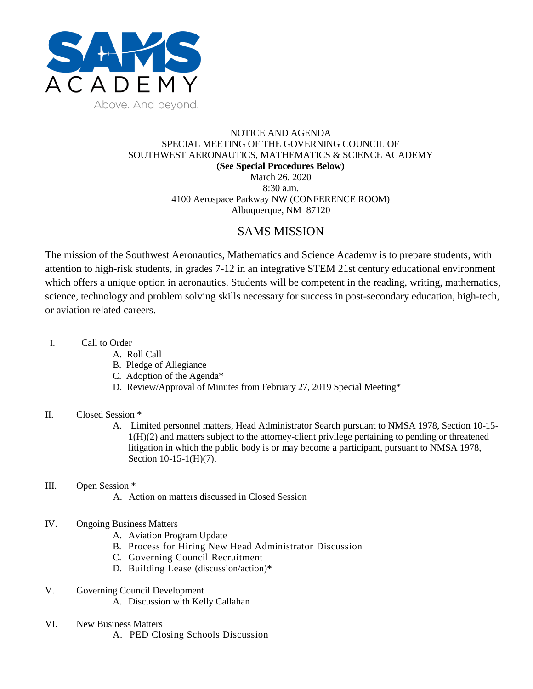

## NOTICE AND AGENDA SPECIAL MEETING OF THE GOVERNING COUNCIL OF SOUTHWEST AERONAUTICS, MATHEMATICS & SCIENCE ACADEMY **(See Special Procedures Below)** March 26, 2020 8:30 a.m. 4100 Aerospace Parkway NW (CONFERENCE ROOM)

Albuquerque, NM 87120

# SAMS MISSION

The mission of the Southwest Aeronautics, Mathematics and Science Academy is to prepare students, with attention to high-risk students, in grades 7-12 in an integrative STEM 21st century educational environment which offers a unique option in aeronautics. Students will be competent in the reading, writing, mathematics, science, technology and problem solving skills necessary for success in post-secondary education, high-tech, or aviation related careers.

- I. Call to Order
	- A. Roll Call
		- B. Pledge of Allegiance
		- C. Adoption of the Agenda\*
		- D. Review/Approval of Minutes from February 27, 2019 Special Meeting\*

## II. Closed Session \*

A. Limited personnel matters, Head Administrator Search pursuant to NMSA 1978, Section 10-15- 1(H)(2) and matters subject to the attorney-client privilege pertaining to pending or threatened litigation in which the public body is or may become a participant, pursuant to NMSA 1978, Section 10-15-1(H)(7).

## III. Open Session \*

A. Action on matters discussed in Closed Session

### IV. Ongoing Business Matters

- A. Aviation Program Update
- B. Process for Hiring New Head Administrator Discussion
- C. Governing Council Recruitment
- D. Building Lease (discussion/action)\*
- V. Governing Council Development
	- A. Discussion with Kelly Callahan
- VI. New Business Matters
	- A. PED Closing Schools Discussion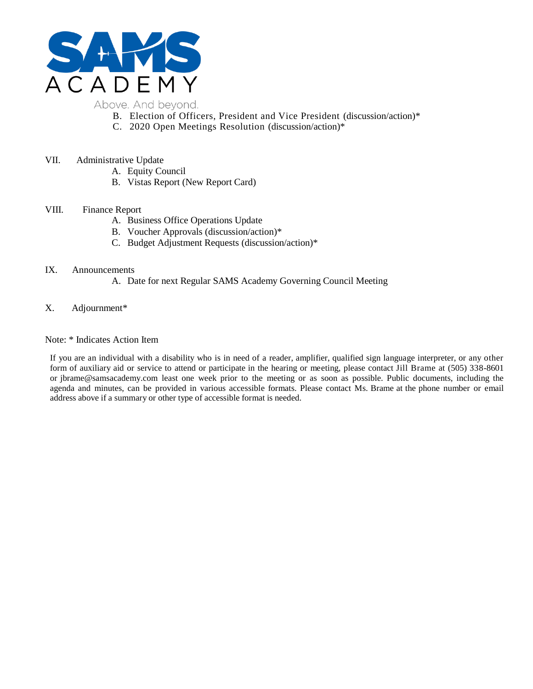

- B. Election of Officers, President and Vice President (discussion/action)\*
- C. 2020 Open Meetings Resolution (discussion/action)\*
- VII. Administrative Update
	- A. Equity Council
	- B. Vistas Report (New Report Card)

#### VIII. Finance Report

- A. Business Office Operations Update
- B. Voucher Approvals (discussion/action)\*
- C. Budget Adjustment Requests (discussion/action)\*

#### IX. Announcements

- A. Date for next Regular SAMS Academy Governing Council Meeting
- X. Adjournment\*

#### Note: \* Indicates Action Item

If you are an individual with a disability who is in need of a reader, amplifier, qualified sign language interpreter, or any other form of auxiliary aid or service to attend or participate in the hearing or meeting, please contact Jill Brame at (505) 338-8601 or jbrame@samsacademy.com least one week prior to the meeting or as soon as possible. Public documents, including the agenda and minutes, can be provided in various accessible formats. Please contact Ms. Brame at the phone number or email address above if a summary or other type of accessible format is needed.